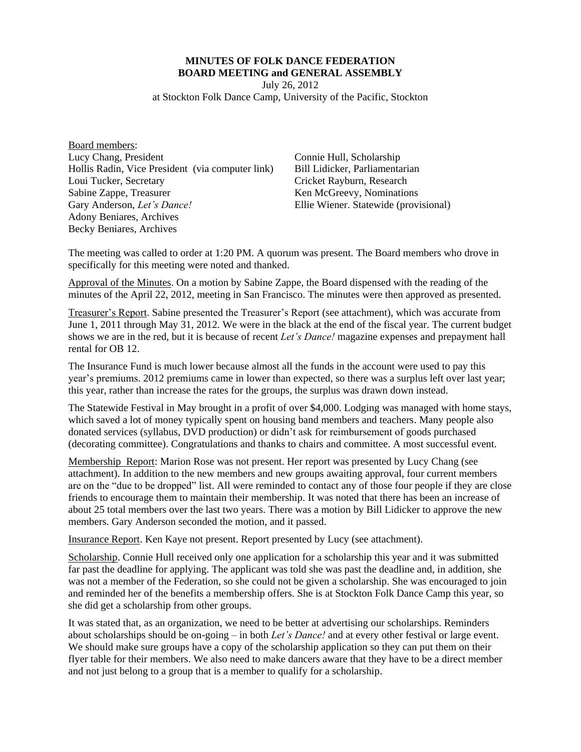## **MINUTES OF FOLK DANCE FEDERATION BOARD MEETING and GENERAL ASSEMBLY**

July 26, 2012

at Stockton Folk Dance Camp, University of the Pacific, Stockton

Board members: Lucy Chang, President Hollis Radin, Vice President (via computer link) Loui Tucker, Secretary Sabine Zappe, Treasurer Gary Anderson, *Let's Dance!* Adony Beniares, Archives Becky Beniares, Archives

Connie Hull, Scholarship Bill Lidicker, Parliamentarian Cricket Rayburn, Research Ken McGreevy, Nominations Ellie Wiener. Statewide (provisional)

The meeting was called to order at 1:20 PM. A quorum was present. The Board members who drove in specifically for this meeting were noted and thanked.

Approval of the Minutes. On a motion by Sabine Zappe, the Board dispensed with the reading of the minutes of the April 22, 2012, meeting in San Francisco. The minutes were then approved as presented.

Treasurer's Report. Sabine presented the Treasurer's Report (see attachment), which was accurate from June 1, 2011 through May 31, 2012. We were in the black at the end of the fiscal year. The current budget shows we are in the red, but it is because of recent *Let's Dance!* magazine expenses and prepayment hall rental for OB 12.

The Insurance Fund is much lower because almost all the funds in the account were used to pay this year's premiums. 2012 premiums came in lower than expected, so there was a surplus left over last year; this year, rather than increase the rates for the groups, the surplus was drawn down instead.

The Statewide Festival in May brought in a profit of over \$4,000. Lodging was managed with home stays, which saved a lot of money typically spent on housing band members and teachers. Many people also donated services (syllabus, DVD production) or didn't ask for reimbursement of goods purchased (decorating committee). Congratulations and thanks to chairs and committee. A most successful event.

Membership Report: Marion Rose was not present. Her report was presented by Lucy Chang (see attachment). In addition to the new members and new groups awaiting approval, four current members are on the "due to be dropped" list. All were reminded to contact any of those four people if they are close friends to encourage them to maintain their membership. It was noted that there has been an increase of about 25 total members over the last two years. There was a motion by Bill Lidicker to approve the new members. Gary Anderson seconded the motion, and it passed.

Insurance Report. Ken Kaye not present. Report presented by Lucy (see attachment).

Scholarship. Connie Hull received only one application for a scholarship this year and it was submitted far past the deadline for applying. The applicant was told she was past the deadline and, in addition, she was not a member of the Federation, so she could not be given a scholarship. She was encouraged to join and reminded her of the benefits a membership offers. She is at Stockton Folk Dance Camp this year, so she did get a scholarship from other groups.

It was stated that, as an organization, we need to be better at advertising our scholarships. Reminders about scholarships should be on-going – in both *Let's Dance!* and at every other festival or large event. We should make sure groups have a copy of the scholarship application so they can put them on their flyer table for their members. We also need to make dancers aware that they have to be a direct member and not just belong to a group that is a member to qualify for a scholarship.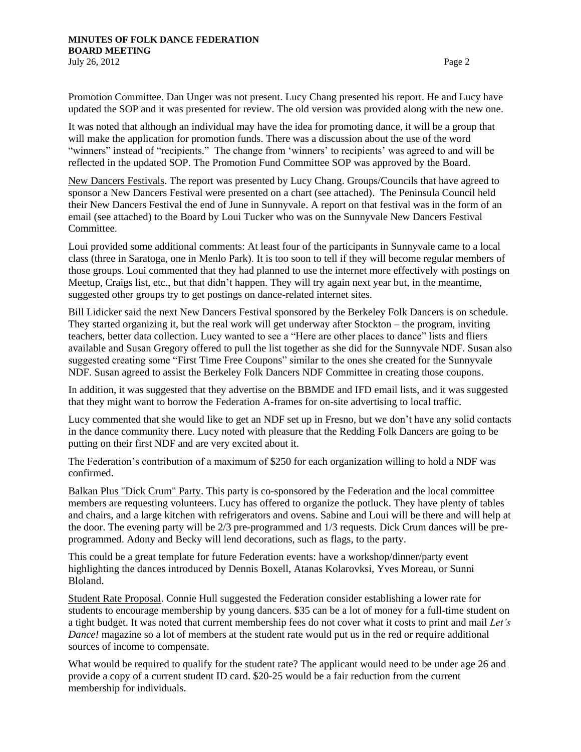Promotion Committee. Dan Unger was not present. Lucy Chang presented his report. He and Lucy have updated the SOP and it was presented for review. The old version was provided along with the new one.

It was noted that although an individual may have the idea for promoting dance, it will be a group that will make the application for promotion funds. There was a discussion about the use of the word "winners" instead of "recipients." The change from 'winners' to recipients' was agreed to and will be reflected in the updated SOP. The Promotion Fund Committee SOP was approved by the Board.

New Dancers Festivals. The report was presented by Lucy Chang. Groups/Councils that have agreed to sponsor a New Dancers Festival were presented on a chart (see attached). The Peninsula Council held their New Dancers Festival the end of June in Sunnyvale. A report on that festival was in the form of an email (see attached) to the Board by Loui Tucker who was on the Sunnyvale New Dancers Festival Committee.

Loui provided some additional comments: At least four of the participants in Sunnyvale came to a local class (three in Saratoga, one in Menlo Park). It is too soon to tell if they will become regular members of those groups. Loui commented that they had planned to use the internet more effectively with postings on Meetup, Craigs list, etc., but that didn't happen. They will try again next year but, in the meantime, suggested other groups try to get postings on dance-related internet sites.

Bill Lidicker said the next New Dancers Festival sponsored by the Berkeley Folk Dancers is on schedule. They started organizing it, but the real work will get underway after Stockton – the program, inviting teachers, better data collection. Lucy wanted to see a "Here are other places to dance" lists and fliers available and Susan Gregory offered to pull the list together as she did for the Sunnyvale NDF. Susan also suggested creating some "First Time Free Coupons" similar to the ones she created for the Sunnyvale NDF. Susan agreed to assist the Berkeley Folk Dancers NDF Committee in creating those coupons.

In addition, it was suggested that they advertise on the BBMDE and IFD email lists, and it was suggested that they might want to borrow the Federation A-frames for on-site advertising to local traffic.

Lucy commented that she would like to get an NDF set up in Fresno, but we don't have any solid contacts in the dance community there. Lucy noted with pleasure that the Redding Folk Dancers are going to be putting on their first NDF and are very excited about it.

The Federation's contribution of a maximum of \$250 for each organization willing to hold a NDF was confirmed.

Balkan Plus "Dick Crum" Party. This party is co-sponsored by the Federation and the local committee members are requesting volunteers. Lucy has offered to organize the potluck. They have plenty of tables and chairs, and a large kitchen with refrigerators and ovens. Sabine and Loui will be there and will help at the door. The evening party will be 2/3 pre-programmed and 1/3 requests. Dick Crum dances will be preprogrammed. Adony and Becky will lend decorations, such as flags, to the party.

This could be a great template for future Federation events: have a workshop/dinner/party event highlighting the dances introduced by Dennis Boxell, Atanas Kolarovksi, Yves Moreau, or Sunni Bloland.

Student Rate Proposal. Connie Hull suggested the Federation consider establishing a lower rate for students to encourage membership by young dancers. \$35 can be a lot of money for a full-time student on a tight budget. It was noted that current membership fees do not cover what it costs to print and mail *Let's Dance!* magazine so a lot of members at the student rate would put us in the red or require additional sources of income to compensate.

What would be required to qualify for the student rate? The applicant would need to be under age 26 and provide a copy of a current student ID card. \$20-25 would be a fair reduction from the current membership for individuals.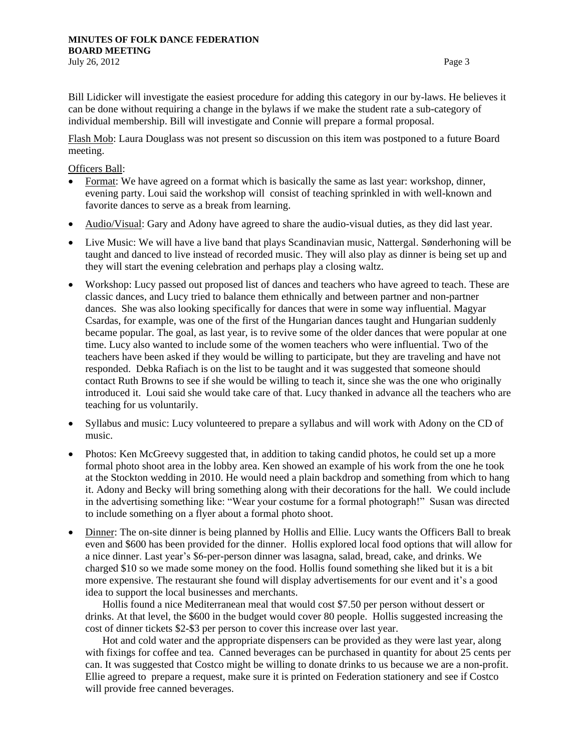Bill Lidicker will investigate the easiest procedure for adding this category in our by-laws. He believes it can be done without requiring a change in the bylaws if we make the student rate a sub-category of individual membership. Bill will investigate and Connie will prepare a formal proposal.

Flash Mob: Laura Douglass was not present so discussion on this item was postponed to a future Board meeting.

Officers Ball:

- Format: We have agreed on a format which is basically the same as last year: workshop, dinner, evening party. Loui said the workshop will consist of teaching sprinkled in with well-known and favorite dances to serve as a break from learning.
- Audio/Visual: Gary and Adony have agreed to share the audio-visual duties, as they did last year.
- Live Music: We will have a live band that plays Scandinavian music, Nattergal. Sønderhoning will be taught and danced to live instead of recorded music. They will also play as dinner is being set up and they will start the evening celebration and perhaps play a closing waltz.
- Workshop: Lucy passed out proposed list of dances and teachers who have agreed to teach. These are classic dances, and Lucy tried to balance them ethnically and between partner and non-partner dances. She was also looking specifically for dances that were in some way influential. Magyar Csardas, for example, was one of the first of the Hungarian dances taught and Hungarian suddenly became popular. The goal, as last year, is to revive some of the older dances that were popular at one time. Lucy also wanted to include some of the women teachers who were influential. Two of the teachers have been asked if they would be willing to participate, but they are traveling and have not responded. Debka Rafiach is on the list to be taught and it was suggested that someone should contact Ruth Browns to see if she would be willing to teach it, since she was the one who originally introduced it. Loui said she would take care of that. Lucy thanked in advance all the teachers who are teaching for us voluntarily.
- Syllabus and music: Lucy volunteered to prepare a syllabus and will work with Adony on the CD of music.
- Photos: Ken McGreevy suggested that, in addition to taking candid photos, he could set up a more formal photo shoot area in the lobby area. Ken showed an example of his work from the one he took at the Stockton wedding in 2010. He would need a plain backdrop and something from which to hang it. Adony and Becky will bring something along with their decorations for the hall. We could include in the advertising something like: "Wear your costume for a formal photograph!" Susan was directed to include something on a flyer about a formal photo shoot.
- Dinner: The on-site dinner is being planned by Hollis and Ellie. Lucy wants the Officers Ball to break even and \$600 has been provided for the dinner. Hollis explored local food options that will allow for a nice dinner. Last year's \$6-per-person dinner was lasagna, salad, bread, cake, and drinks. We charged \$10 so we made some money on the food. Hollis found something she liked but it is a bit more expensive. The restaurant she found will display advertisements for our event and it's a good idea to support the local businesses and merchants.

Hollis found a nice Mediterranean meal that would cost \$7.50 per person without dessert or drinks. At that level, the \$600 in the budget would cover 80 people. Hollis suggested increasing the cost of dinner tickets \$2-\$3 per person to cover this increase over last year.

Hot and cold water and the appropriate dispensers can be provided as they were last year, along with fixings for coffee and tea. Canned beverages can be purchased in quantity for about 25 cents per can. It was suggested that Costco might be willing to donate drinks to us because we are a non-profit. Ellie agreed to prepare a request, make sure it is printed on Federation stationery and see if Costco will provide free canned beverages.